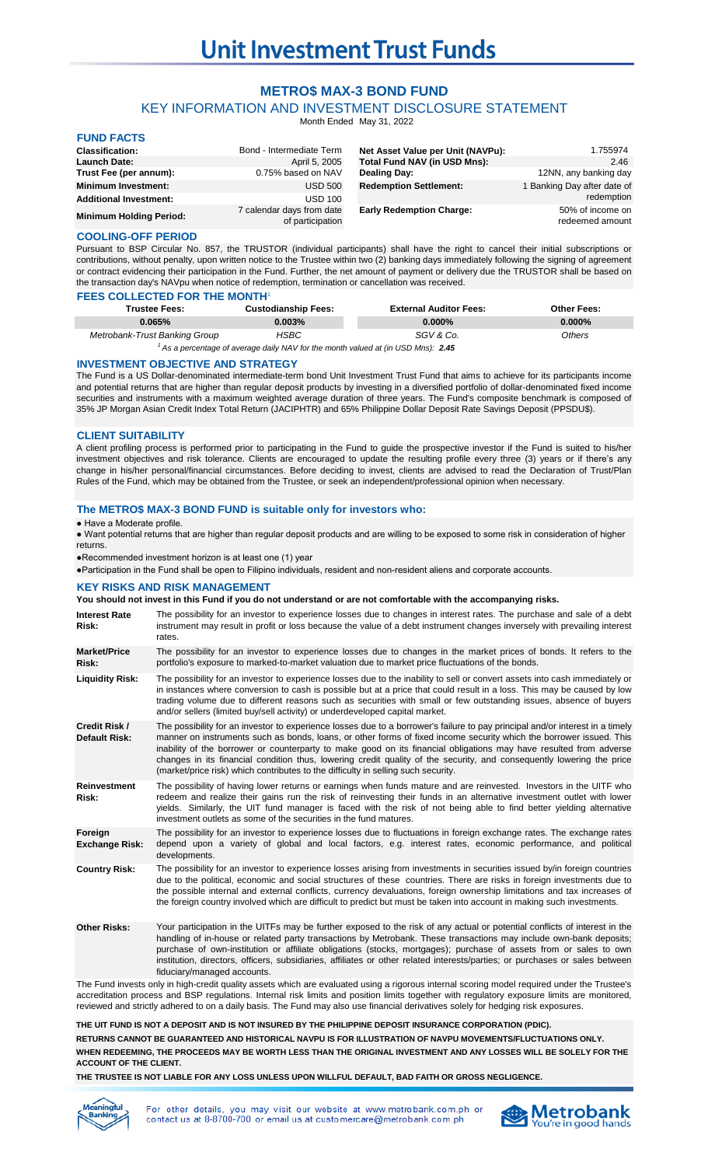# **Unit Investment Trust Funds**

# **METRO\$ MAX-3 BOND FUND**

# KEY INFORMATION AND INVESTMENT DISCLOSURE STATEMENT

Month Ended May 31, 2022

# **FUND FACTS**

| $\sim$ $\sim$ $\sim$ $\sim$ $\sim$ $\sim$ |                                               |                                   |                                     |
|-------------------------------------------|-----------------------------------------------|-----------------------------------|-------------------------------------|
| <b>Classification:</b>                    | Bond - Intermediate Term                      | Net Asset Value per Unit (NAVPu): | 1.755974                            |
| <b>Launch Date:</b>                       | April 5, 2005                                 | Total Fund NAV (in USD Mns):      | 2.46                                |
| Trust Fee (per annum):                    | 0.75% based on NAV                            | Dealing Day:                      | 12NN, any banking day               |
| <b>Minimum Investment:</b>                | <b>USD 500</b>                                | <b>Redemption Settlement:</b>     | 1 Banking Day after date of         |
| <b>Additional Investment:</b>             | <b>USD 100</b>                                |                                   | redemption                          |
| <b>Minimum Holding Period:</b>            | 7 calendar days from date<br>of participation | <b>Early Redemption Charge:</b>   | 50% of income on<br>redeemed amount |

#### **COOLING-OFF PERIOD**

Pursuant to BSP Circular No. 857, the TRUSTOR (individual participants) shall have the right to cancel their initial subscriptions or contributions, without penalty, upon written notice to the Trustee within two (2) banking days immediately following the signing of agreement or contract evidencing their participation in the Fund. Further, the net amount of payment or delivery due the TRUSTOR shall be based on the transaction day's NAVpu when notice of redemption, termination or cancellation was received.

| <b>FEES COLLECTED FOR THE MONTH</b> |                                                                                     |                               |                    |
|-------------------------------------|-------------------------------------------------------------------------------------|-------------------------------|--------------------|
| <b>Trustee Fees:</b>                | <b>Custodianship Fees:</b>                                                          | <b>External Auditor Fees:</b> | <b>Other Fees:</b> |
| 0.065%                              | $0.003\%$                                                                           | $0.000\%$                     | $0.000\%$          |
| Metrobank-Trust Banking Group       | HSBC                                                                                | SGV & Co.                     | <b>Others</b>      |
|                                     | $'$ As a percentage of average daily NAV for the month valued at (in USD Mns): 2.45 |                               |                    |

#### **INVESTMENT OBJECTIVE AND STRATEGY**

The Fund is a US Dollar-denominated intermediate-term bond Unit Investment Trust Fund that aims to achieve for its participants income and potential returns that are higher than regular deposit products by investing in a diversified portfolio of dollar-denominated fixed income securities and instruments with a maximum weighted average duration of three years. The Fund's composite benchmark is composed of 35% JP Morgan Asian Credit Index Total Return (JACIPHTR) and 65% Philippine Dollar Deposit Rate Savings Deposit (PPSDU\$).

#### **CLIENT SUITABILITY**

A client profiling process is performed prior to participating in the Fund to guide the prospective investor if the Fund is suited to his/her investment objectives and risk tolerance. Clients are encouraged to update the resulting profile every three (3) years or if there's any change in his/her personal/financial circumstances. Before deciding to invest, clients are advised to read the Declaration of Trust/Plan Rules of the Fund, which may be obtained from the Trustee, or seek an independent/professional opinion when necessary.

# **The METRO\$ MAX-3 BOND FUND is suitable only for investors who:**

#### ● Have a Moderate profile.

● Want potential returns that are higher than regular deposit products and are willing to be exposed to some risk in consideration of higher returns.

●Recommended investment horizon is at least one (1) year

●Participation in the Fund shall be open to Filipino individuals, resident and non-resident aliens and corporate accounts.

#### **KEY RISKS AND RISK MANAGEMENT**

**You should not invest in this Fund if you do not understand or are not comfortable with the accompanying risks.**

| <b>Interest Rate</b><br>Risk:         | The possibility for an investor to experience losses due to changes in interest rates. The purchase and sale of a debt<br>instrument may result in profit or loss because the value of a debt instrument changes inversely with prevailing interest<br>rates.                                                                                                                                                                                                                                                                                                                            |
|---------------------------------------|------------------------------------------------------------------------------------------------------------------------------------------------------------------------------------------------------------------------------------------------------------------------------------------------------------------------------------------------------------------------------------------------------------------------------------------------------------------------------------------------------------------------------------------------------------------------------------------|
| <b>Market/Price</b><br>Risk:          | The possibility for an investor to experience losses due to changes in the market prices of bonds. It refers to the<br>portfolio's exposure to marked-to-market valuation due to market price fluctuations of the bonds.                                                                                                                                                                                                                                                                                                                                                                 |
| <b>Liquidity Risk:</b>                | The possibility for an investor to experience losses due to the inability to sell or convert assets into cash immediately or<br>in instances where conversion to cash is possible but at a price that could result in a loss. This may be caused by low<br>trading volume due to different reasons such as securities with small or few outstanding issues, absence of buyers<br>and/or sellers (limited buy/sell activity) or underdeveloped capital market.                                                                                                                            |
| Credit Risk /<br><b>Default Risk:</b> | The possibility for an investor to experience losses due to a borrower's failure to pay principal and/or interest in a timely<br>manner on instruments such as bonds, loans, or other forms of fixed income security which the borrower issued. This<br>inability of the borrower or counterparty to make good on its financial obligations may have resulted from adverse<br>changes in its financial condition thus, lowering credit quality of the security, and consequently lowering the price<br>(market/price risk) which contributes to the difficulty in selling such security. |
| <b>Reinvestment</b><br>Risk:          | The possibility of having lower returns or earnings when funds mature and are reinvested. Investors in the UITF who<br>redeem and realize their gains run the risk of reinvesting their funds in an alternative investment outlet with lower<br>yields. Similarly, the UIT fund manager is faced with the risk of not being able to find better yielding alternative<br>investment outlets as some of the securities in the fund matures.                                                                                                                                                |
| Foreign<br><b>Exchange Risk:</b>      | The possibility for an investor to experience losses due to fluctuations in foreign exchange rates. The exchange rates<br>depend upon a variety of global and local factors, e.g. interest rates, economic performance, and political<br>developments.                                                                                                                                                                                                                                                                                                                                   |
| <b>Country Risk:</b>                  | The possibility for an investor to experience losses arising from investments in securities issued by/in foreign countries<br>due to the political, economic and social structures of these countries. There are risks in foreign investments due to<br>the possible internal and external conflicts, currency devaluations, foreign ownership limitations and tax increases of<br>the foreign country involved which are difficult to predict but must be taken into account in making such investments.                                                                                |
| <b>Other Risks:</b>                   | Your participation in the UITFs may be further exposed to the risk of any actual or potential conflicts of interest in the<br>handling of in-house or related party transactions by Metrobank. These transactions may include own-bank deposits;                                                                                                                                                                                                                                                                                                                                         |

purchase of own-institution or affiliate obligations (stocks, mortgages); purchase of assets from or sales to own institution, directors, officers, subsidiaries, affiliates or other related interests/parties; or purchases or sales between fiduciary/managed accounts.

The Fund invests only in high-credit quality assets which are evaluated using a rigorous internal scoring model required under the Trustee's accreditation process and BSP regulations. Internal risk limits and position limits together with regulatory exposure limits are monitored, reviewed and strictly adhered to on a daily basis. The Fund may also use financial derivatives solely for hedging risk exposures.

# **THE UIT FUND IS NOT A DEPOSIT AND IS NOT INSURED BY THE PHILIPPINE DEPOSIT INSURANCE CORPORATION (PDIC).**

**RETURNS CANNOT BE GUARANTEED AND HISTORICAL NAVPU IS FOR ILLUSTRATION OF NAVPU MOVEMENTS/FLUCTUATIONS ONLY. WHEN REDEEMING, THE PROCEEDS MAY BE WORTH LESS THAN THE ORIGINAL INVESTMENT AND ANY LOSSES WILL BE SOLELY FOR THE ACCOUNT OF THE CLIENT.**

**THE TRUSTEE IS NOT LIABLE FOR ANY LOSS UNLESS UPON WILLFUL DEFAULT, BAD FAITH OR GROSS NEGLIGENCE.**



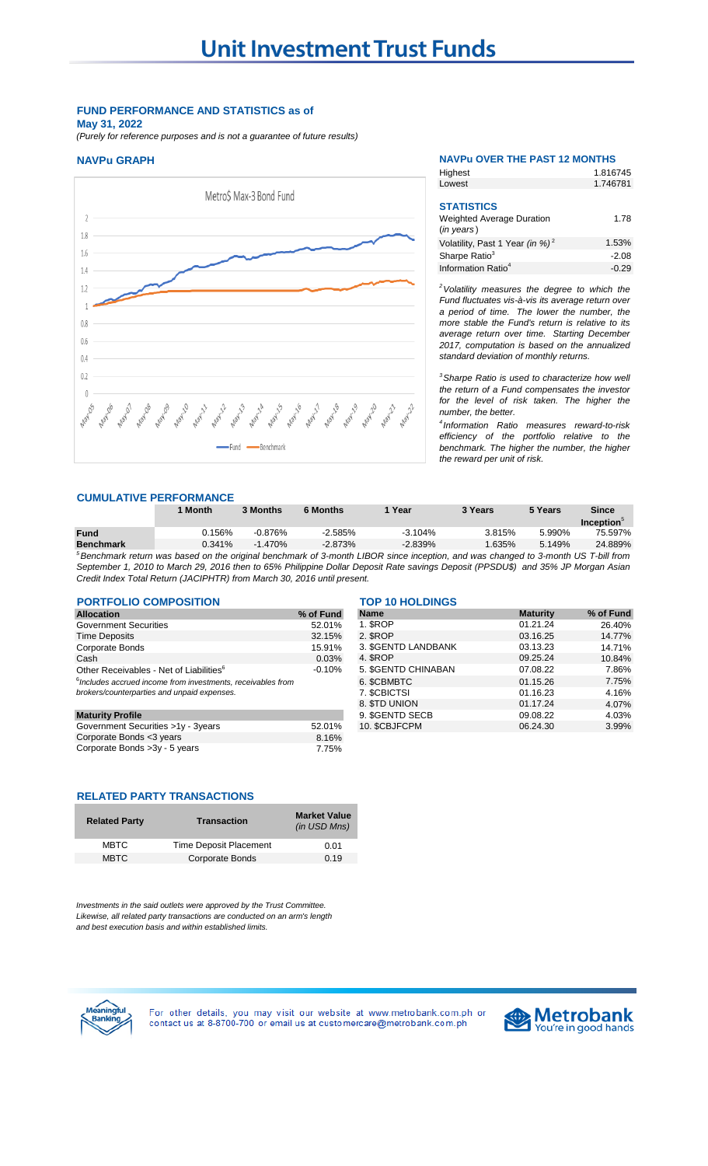# **FUND PERFORMANCE AND STATISTICS as of May 31, 2022**

*(Purely for reference purposes and is not a guarantee of future results)*



# **NAVPu GRAPH NAVPu OVER THE PAST 12 MONTHS**

Highest

1.816745

| 1.746781 |
|----------|
|          |
|          |
| 1.78     |
|          |
| 1.53%    |
| $-2.08$  |
| $-0.29$  |
|          |

*<sup>2</sup>Volatility measures the degree to which the Fund fluctuates vis-à-vis its average return over a period of time. The lower the number, the more stable the Fund's return is relative to its average return over time. Starting December 2017, computation is based on the annualized standard deviation of monthly returns.* 

*<sup>3</sup>Sharpe Ratio is used to characterize how well the return of a Fund compensates the investor for the level of risk taken. The higher the number, the better.*

*4 Information Ratio measures reward-to-risk efficiency of the portfolio relative to the benchmark. The higher the number, the higher the reward per unit of risk.*

#### **CUMULATIVE PERFORMANCE**

|                  | <b>Month</b>                                                                                                                                  | 3 Months  | 6 Months  | Year       | 3 Years | 5 Years | <b>Since</b>           |
|------------------|-----------------------------------------------------------------------------------------------------------------------------------------------|-----------|-----------|------------|---------|---------|------------------------|
|                  |                                                                                                                                               |           |           |            |         |         | Inception <sup>°</sup> |
| <b>Fund</b>      | 0.156%                                                                                                                                        | $-0.876%$ | $-2.585%$ | $-3.104\%$ | 3.815%  | 5.990%  | 75.597%                |
| <b>Benchmark</b> | $0.341\%$                                                                                                                                     | $-1.470%$ | $-2.873%$ | $-2.839%$  | 1.635%  | 5.149%  | 24.889%                |
|                  | <sup>5</sup> Benchmark return was based on the original benchmark of 3-month LIBOR since inception, and was changed to 3-month US T-bill from |           |           |            |         |         |                        |
|                  |                                                                                                                                               |           |           |            |         |         |                        |

September 1, 2010 to March 29, 2016 then to 65% Philippine Dollar Deposit Rate savings Deposit (PPSDU\$) and 35% JP Morgan Asian *Credit Index Total Return (JACIPHTR) from March 30, 2016 until present.*

| <b>PORTFOLIO COMPOSITION</b>                                                                                           |           |
|------------------------------------------------------------------------------------------------------------------------|-----------|
| <b>Allocation</b>                                                                                                      | % of Fund |
| <b>Government Securities</b>                                                                                           | 52.01%    |
| <b>Time Deposits</b>                                                                                                   | 32.15%    |
| Corporate Bonds                                                                                                        | 15.91%    |
| Cash                                                                                                                   | 0.03%     |
| Other Receivables - Net of Liabilities <sup>6</sup>                                                                    | $-0.10%$  |
| <sup>6</sup> Includes accrued income from investments, receivables from<br>brokers/counterparties and unpaid expenses. |           |
|                                                                                                                        |           |

| <b>IVIGIUIILY FIUIIIG</b>          |        |
|------------------------------------|--------|
| Government Securities >1y - 3years | 52.01% |
| Corporate Bonds <3 years           | 8.16%  |
| Corporate Bonds > 3y - 5 years     | 7.75%  |

# **RELATED PARTY TRANSACTIONS**

| <b>Related Party</b> | <b>Transaction</b>            | <b>Market Value</b><br>(in USD Mns) |
|----------------------|-------------------------------|-------------------------------------|
| <b>MBTC</b>          | <b>Time Deposit Placement</b> | 0.01                                |
| <b>MBTC</b>          | Corporate Bonds               | 0.19                                |

*Investments in the said outlets were approved by the Trust Committee. Likewise, all related party transactions are conducted on an arm's length and best execution basis and within established limits.*

#### **PORTFOLIO COMPOSITION TOP 10 HOLDINGS**

| ורטו ונטט וואוטט טובוס וואס ו                                  |                     |                        |           |  |  |
|----------------------------------------------------------------|---------------------|------------------------|-----------|--|--|
| % of Fund                                                      | <b>Name</b>         | <b>Maturity</b>        | % of Fund |  |  |
| 52.01%                                                         | 1. SROP             | 01.21.24               | 26.40%    |  |  |
| 32.15%                                                         | 2. SROP             | 03.16.25               | 14.77%    |  |  |
| 15.91%                                                         | 3. \$GENTD LANDBANK | 03.13.23               | 14.71%    |  |  |
| 0.03%                                                          | 4. SROP             | 09.25.24               | 10.84%    |  |  |
| $-0.10%$                                                       | 5. SGENTD CHINABAN  | 07.08.22               | 7.86%     |  |  |
| $6$ Includes accrued income from investments, receivables from | 6. SCBMBTC          | 01.15.26               | 7.75%     |  |  |
|                                                                | 7. SCBICTSI         | 01.16.23               | 4.16%     |  |  |
|                                                                | 8. STD UNION        | 01.17.24               | 4.07%     |  |  |
|                                                                | 9. SGENTD SECB      | 09.08.22               | 4.03%     |  |  |
| 52.01%                                                         | 10. \$CBJFCPM       | 06.24.30               | 3.99%     |  |  |
|                                                                |                     | <u>IUI IVIIULUINUJ</u> |           |  |  |



For other details, you may visit our website at www.metrobank.com.ph or contact us at 8-8700-700 or email us at customercare@metrobank.com.ph